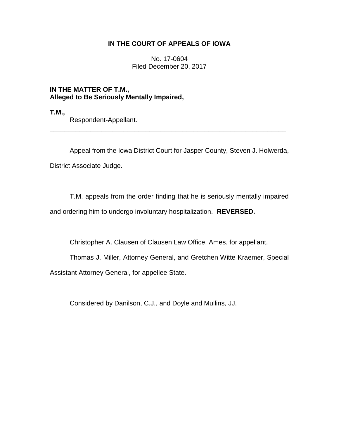## **IN THE COURT OF APPEALS OF IOWA**

No. 17-0604 Filed December 20, 2017

**IN THE MATTER OF T.M., Alleged to Be Seriously Mentally Impaired,**

**T.M.,**

Respondent-Appellant.

Appeal from the Iowa District Court for Jasper County, Steven J. Holwerda, District Associate Judge.

\_\_\_\_\_\_\_\_\_\_\_\_\_\_\_\_\_\_\_\_\_\_\_\_\_\_\_\_\_\_\_\_\_\_\_\_\_\_\_\_\_\_\_\_\_\_\_\_\_\_\_\_\_\_\_\_\_\_\_\_\_\_\_\_

T.M. appeals from the order finding that he is seriously mentally impaired

and ordering him to undergo involuntary hospitalization. **REVERSED.**

Christopher A. Clausen of Clausen Law Office, Ames, for appellant.

Thomas J. Miller, Attorney General, and Gretchen Witte Kraemer, Special Assistant Attorney General, for appellee State.

Considered by Danilson, C.J., and Doyle and Mullins, JJ.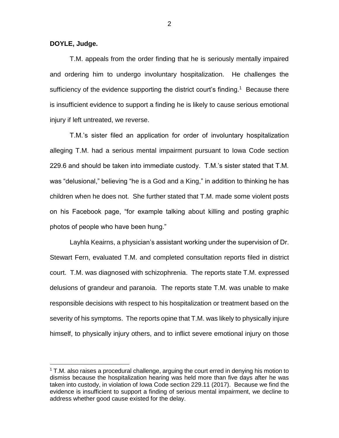**DOYLE, Judge.**

 $\overline{a}$ 

T.M. appeals from the order finding that he is seriously mentally impaired and ordering him to undergo involuntary hospitalization. He challenges the sufficiency of the evidence supporting the district court's finding.<sup>1</sup> Because there is insufficient evidence to support a finding he is likely to cause serious emotional injury if left untreated, we reverse.

T.M.'s sister filed an application for order of involuntary hospitalization alleging T.M. had a serious mental impairment pursuant to Iowa Code section 229.6 and should be taken into immediate custody. T.M.'s sister stated that T.M. was "delusional," believing "he is a God and a King," in addition to thinking he has children when he does not. She further stated that T.M. made some violent posts on his Facebook page, "for example talking about killing and posting graphic photos of people who have been hung."

Layhla Keairns, a physician's assistant working under the supervision of Dr. Stewart Fern, evaluated T.M. and completed consultation reports filed in district court. T.M. was diagnosed with schizophrenia. The reports state T.M. expressed delusions of grandeur and paranoia. The reports state T.M. was unable to make responsible decisions with respect to his hospitalization or treatment based on the severity of his symptoms. The reports opine that T.M. was likely to physically injure himself, to physically injury others, and to inflict severe emotional injury on those

 $1$  T.M. also raises a procedural challenge, arguing the court erred in denying his motion to dismiss because the hospitalization hearing was held more than five days after he was taken into custody, in violation of Iowa Code section 229.11 (2017). Because we find the evidence is insufficient to support a finding of serious mental impairment, we decline to address whether good cause existed for the delay.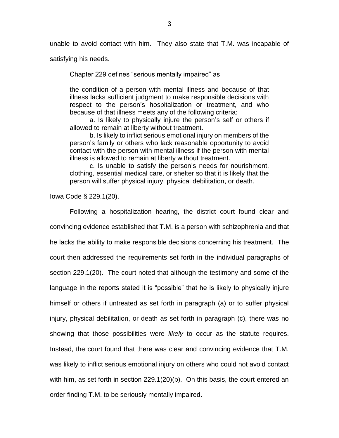unable to avoid contact with him. They also state that T.M. was incapable of

satisfying his needs.

Chapter 229 defines "serious mentally impaired" as

the condition of a person with mental illness and because of that illness lacks sufficient judgment to make responsible decisions with respect to the person's hospitalization or treatment, and who because of that illness meets any of the following criteria:

a. Is likely to physically injure the person's self or others if allowed to remain at liberty without treatment.

b. Is likely to inflict serious emotional injury on members of the person's family or others who lack reasonable opportunity to avoid contact with the person with mental illness if the person with mental illness is allowed to remain at liberty without treatment.

c. Is unable to satisfy the person's needs for nourishment, clothing, essential medical care, or shelter so that it is likely that the person will suffer physical injury, physical debilitation, or death.

Iowa Code § 229.1(20).

Following a hospitalization hearing, the district court found clear and convincing evidence established that T.M. is a person with schizophrenia and that he lacks the ability to make responsible decisions concerning his treatment. The court then addressed the requirements set forth in the individual paragraphs of section 229.1(20). The court noted that although the testimony and some of the language in the reports stated it is "possible" that he is likely to physically injure himself or others if untreated as set forth in paragraph (a) or to suffer physical injury, physical debilitation, or death as set forth in paragraph (c), there was no showing that those possibilities were *likely* to occur as the statute requires. Instead, the court found that there was clear and convincing evidence that T.M. was likely to inflict serious emotional injury on others who could not avoid contact with him, as set forth in section 229.1(20)(b). On this basis, the court entered an order finding T.M. to be seriously mentally impaired.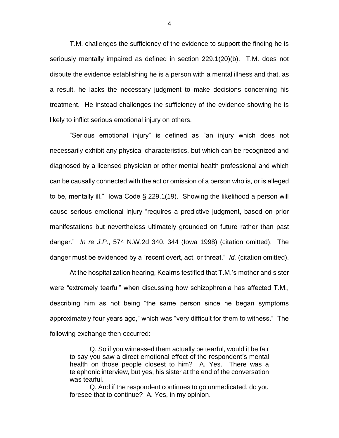T.M. challenges the sufficiency of the evidence to support the finding he is seriously mentally impaired as defined in section 229.1(20)(b). T.M. does not dispute the evidence establishing he is a person with a mental illness and that, as a result, he lacks the necessary judgment to make decisions concerning his treatment. He instead challenges the sufficiency of the evidence showing he is likely to inflict serious emotional injury on others.

"Serious emotional injury" is defined as "an injury which does not necessarily exhibit any physical characteristics, but which can be recognized and diagnosed by a licensed physician or other mental health professional and which can be causally connected with the act or omission of a person who is, or is alleged to be, mentally ill." Iowa Code § 229.1(19). Showing the likelihood a person will cause serious emotional injury "requires a predictive judgment, based on prior manifestations but nevertheless ultimately grounded on future rather than past danger." *In re J.P.*, 574 N.W.2d 340, 344 (Iowa 1998) (citation omitted). The danger must be evidenced by a "recent overt, act, or threat." *Id.* (citation omitted).

At the hospitalization hearing, Keairns testified that T.M.'s mother and sister were "extremely tearful" when discussing how schizophrenia has affected T.M., describing him as not being "the same person since he began symptoms approximately four years ago," which was "very difficult for them to witness." The following exchange then occurred:

Q. So if you witnessed them actually be tearful, would it be fair to say you saw a direct emotional effect of the respondent's mental health on those people closest to him? A. Yes. There was a telephonic interview, but yes, his sister at the end of the conversation was tearful.

Q. And if the respondent continues to go unmedicated, do you foresee that to continue? A. Yes, in my opinion.